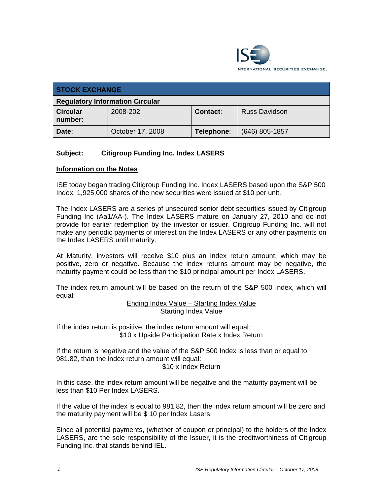

| <b>STOCK EXCHANGE</b>                  |                  |                 |                      |  |  |
|----------------------------------------|------------------|-----------------|----------------------|--|--|
| <b>Regulatory Information Circular</b> |                  |                 |                      |  |  |
| <b>Circular</b><br>number:             | 2008-202         | <b>Contact:</b> | <b>Russ Davidson</b> |  |  |
| Date:                                  | October 17, 2008 | Telephone:      | $(646)$ 805-1857     |  |  |

## **Subject: Citigroup Funding Inc. Index LASERS**

## **Information on the Notes**

ISE today began trading Citigroup Funding Inc. Index LASERS based upon the S&P 500 Index. 1,925,000 shares of the new securities were issued at \$10 per unit.

The Index LASERS are a series pf unsecured senior debt securities issued by Citigroup Funding Inc (Aa1/AA-). The Index LASERS mature on January 27, 2010 and do not provide for earlier redemption by the investor or issuer. Citigroup Funding Inc. will not make any periodic payments of interest on the Index LASERS or any other payments on the Index LASERS until maturity.

At Maturity, investors will receive \$10 plus an index return amount, which may be positive, zero or negative. Because the index returns amount may be negative, the maturity payment could be less than the \$10 principal amount per Index LASERS.

The index return amount will be based on the return of the S&P 500 Index, which will equal:

Ending Index Value – Starting Index Value Starting Index Value

If the index return is positive, the index return amount will equal: \$10 x Upside Participation Rate x Index Return

If the return is negative and the value of the S&P 500 Index is less than or equal to 981.82, than the index return amount will equal: \$10 x Index Return

In this case, the index return amount will be negative and the maturity payment will be less than \$10 Per Index LASERS.

If the value of the index is equal to 981.82, then the index return amount will be zero and the maturity payment will be \$ 10 per Index Lasers.

Since all potential payments, (whether of coupon or principal) to the holders of the Index LASERS, are the sole responsibility of the Issuer, it is the creditworthiness of Citigroup Funding Inc. that stands behind IEL**.**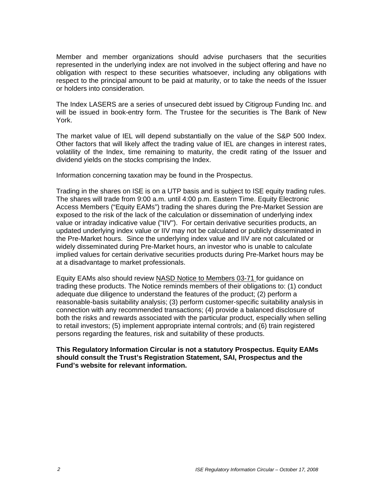Member and member organizations should advise purchasers that the securities represented in the underlying index are not involved in the subject offering and have no obligation with respect to these securities whatsoever, including any obligations with respect to the principal amount to be paid at maturity, or to take the needs of the Issuer or holders into consideration.

The Index LASERS are a series of unsecured debt issued by Citigroup Funding Inc. and will be issued in book-entry form. The Trustee for the securities is The Bank of New York.

The market value of IEL will depend substantially on the value of the S&P 500 Index. Other factors that will likely affect the trading value of IEL are changes in interest rates, volatility of the Index, time remaining to maturity, the credit rating of the Issuer and dividend yields on the stocks comprising the Index.

Information concerning taxation may be found in the Prospectus.

Trading in the shares on ISE is on a UTP basis and is subject to ISE equity trading rules. The shares will trade from 9:00 a.m. until 4:00 p.m. Eastern Time. Equity Electronic Access Members ("Equity EAMs") trading the shares during the Pre-Market Session are exposed to the risk of the lack of the calculation or dissemination of underlying index value or intraday indicative value ("IIV"). For certain derivative securities products, an updated underlying index value or IIV may not be calculated or publicly disseminated in the Pre-Market hours. Since the underlying index value and IIV are not calculated or widely disseminated during Pre-Market hours, an investor who is unable to calculate implied values for certain derivative securities products during Pre-Market hours may be at a disadvantage to market professionals.

Equity EAMs also should review NASD Notice to Members 03-71 for guidance on trading these products. The Notice reminds members of their obligations to: (1) conduct adequate due diligence to understand the features of the product; (2) perform a reasonable-basis suitability analysis; (3) perform customer-specific suitability analysis in connection with any recommended transactions; (4) provide a balanced disclosure of both the risks and rewards associated with the particular product, especially when selling to retail investors; (5) implement appropriate internal controls; and (6) train registered persons regarding the features, risk and suitability of these products.

## **This Regulatory Information Circular is not a statutory Prospectus. Equity EAMs should consult the Trust's Registration Statement, SAI, Prospectus and the Fund's website for relevant information.**